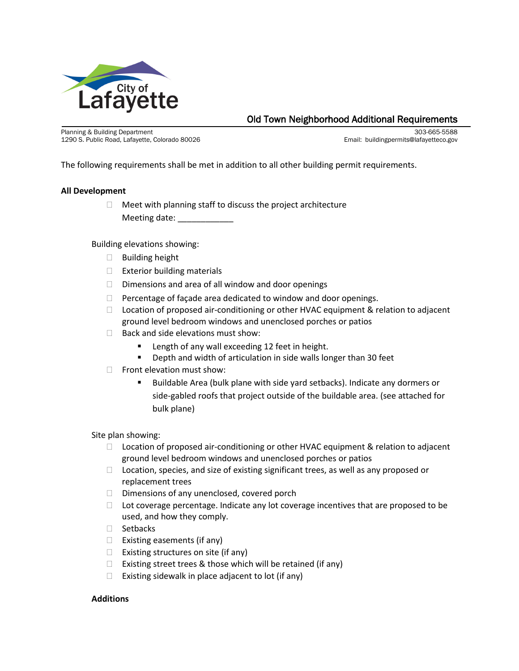

# Old Town Neighborhood Additional Requirements<br>
Planning & Building Department<br>
1290 S. Public Road, Lafayette, Colorado 80026<br>
Email: buildingpermits@lafayetteco.gov

1290 S. Public Road, Lafayette, Colorado 80026

The following requirements shall be met in addition to all other building permit requirements.

## **All Development**

 $\Box$  Meet with planning staff to discuss the project architecture Meeting date:

Building elevations showing:

- $\Box$  Building height
- $\Box$  Exterior building materials
- $\Box$  Dimensions and area of all window and door openings
- $\Box$  Percentage of façade area dedicated to window and door openings.
- $\Box$  Location of proposed air-conditioning or other HVAC equipment & relation to adjacent ground level bedroom windows and unenclosed porches or patios
- $\Box$  Back and side elevations must show:
	- **EXEC** Length of any wall exceeding 12 feet in height.
	- Depth and width of articulation in side walls longer than 30 feet
- $\Box$  Front elevation must show:
	- Buildable Area (bulk plane with side yard setbacks). Indicate any dormers or side-gabled roofs that project outside of the buildable area. (see attached for bulk plane)

Site plan showing:

- $\Box$  Location of proposed air-conditioning or other HVAC equipment & relation to adjacent ground level bedroom windows and unenclosed porches or patios
- $\Box$  Location, species, and size of existing significant trees, as well as any proposed or replacement trees
- $\Box$  Dimensions of any unenclosed, covered porch
- $\Box$  Lot coverage percentage. Indicate any lot coverage incentives that are proposed to be used, and how they comply.
- $\Box$  Setbacks
- $\Box$  Existing easements (if any)
- $\Box$  Existing structures on site (if any)
- $\Box$  Existing street trees & those which will be retained (if any)
- $\Box$  Existing sidewalk in place adjacent to lot (if any)

## **Additions**